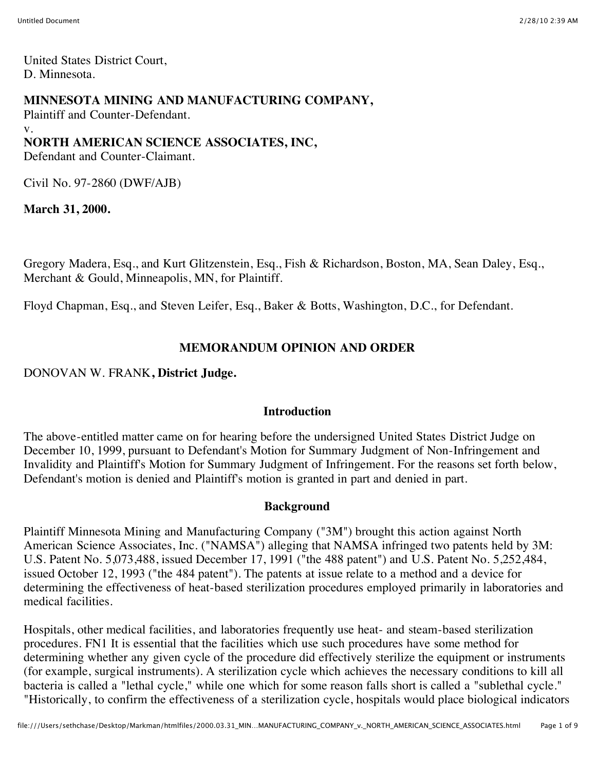United States District Court, D. Minnesota.

## **MINNESOTA MINING AND MANUFACTURING COMPANY,**

Plaintiff and Counter-Defendant. v. **NORTH AMERICAN SCIENCE ASSOCIATES, INC,** Defendant and Counter-Claimant.

Civil No. 97-2860 (DWF/AJB)

**March 31, 2000.**

Gregory Madera, Esq., and Kurt Glitzenstein, Esq., Fish & Richardson, Boston, MA, Sean Daley, Esq., Merchant & Gould, Minneapolis, MN, for Plaintiff.

Floyd Chapman, Esq., and Steven Leifer, Esq., Baker & Botts, Washington, D.C., for Defendant.

## **MEMORANDUM OPINION AND ORDER**

DONOVAN W. FRANK**, District Judge.**

### **Introduction**

The above-entitled matter came on for hearing before the undersigned United States District Judge on December 10, 1999, pursuant to Defendant's Motion for Summary Judgment of Non-Infringement and Invalidity and Plaintiff's Motion for Summary Judgment of Infringement. For the reasons set forth below, Defendant's motion is denied and Plaintiff's motion is granted in part and denied in part.

### **Background**

Plaintiff Minnesota Mining and Manufacturing Company ("3M") brought this action against North American Science Associates, Inc. ("NAMSA") alleging that NAMSA infringed two patents held by 3M: U.S. Patent No. 5,073,488, issued December 17, 1991 ("the 488 patent") and U.S. Patent No. 5,252,484, issued October 12, 1993 ("the 484 patent"). The patents at issue relate to a method and a device for determining the effectiveness of heat-based sterilization procedures employed primarily in laboratories and medical facilities.

Hospitals, other medical facilities, and laboratories frequently use heat- and steam-based sterilization procedures. FN1 It is essential that the facilities which use such procedures have some method for determining whether any given cycle of the procedure did effectively sterilize the equipment or instruments (for example, surgical instruments). A sterilization cycle which achieves the necessary conditions to kill all bacteria is called a "lethal cycle," while one which for some reason falls short is called a "sublethal cycle." "Historically, to confirm the effectiveness of a sterilization cycle, hospitals would place biological indicators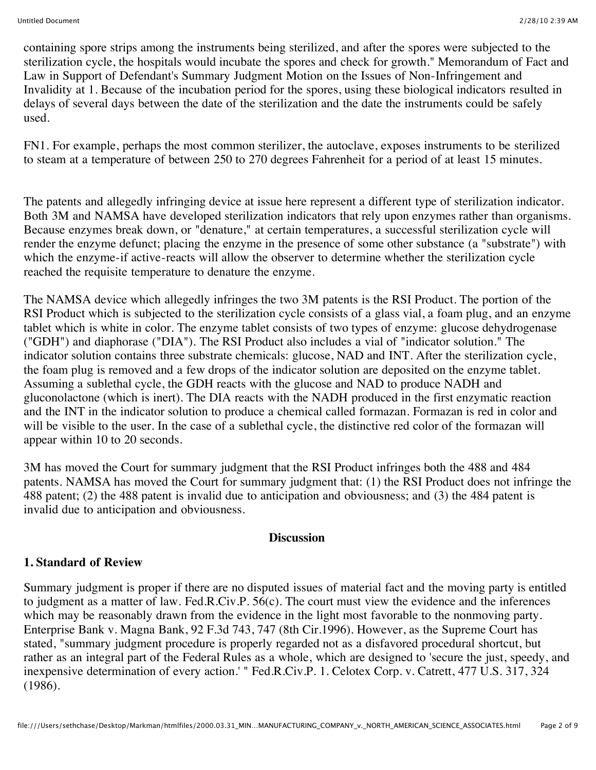containing spore strips among the instruments being sterilized, and after the spores were subjected to the sterilization cycle, the hospitals would incubate the spores and check for growth." Memorandum of Fact and Law in Support of Defendant's Summary Judgment Motion on the Issues of Non-Infringement and Invalidity at 1. Because of the incubation period for the spores, using these biological indicators resulted in delays of several days between the date of the sterilization and the date the instruments could be safely used.

FN1. For example, perhaps the most common sterilizer, the autoclave, exposes instruments to be sterilized to steam at a temperature of between 250 to 270 degrees Fahrenheit for a period of at least 15 minutes.

The patents and allegedly infringing device at issue here represent a different type of sterilization indicator. Both 3M and NAMSA have developed sterilization indicators that rely upon enzymes rather than organisms. Because enzymes break down, or "denature," at certain temperatures, a successful sterilization cycle will render the enzyme defunct; placing the enzyme in the presence of some other substance (a "substrate") with which the enzyme-if active-reacts will allow the observer to determine whether the sterilization cycle reached the requisite temperature to denature the enzyme.

The NAMSA device which allegedly infringes the two 3M patents is the RSI Product. The portion of the RSI Product which is subjected to the sterilization cycle consists of a glass vial, a foam plug, and an enzyme tablet which is white in color. The enzyme tablet consists of two types of enzyme: glucose dehydrogenase ("GDH") and diaphorase ("DIA"). The RSI Product also includes a vial of "indicator solution." The indicator solution contains three substrate chemicals: glucose, NAD and INT. After the sterilization cycle, the foam plug is removed and a few drops of the indicator solution are deposited on the enzyme tablet. Assuming a sublethal cycle, the GDH reacts with the glucose and NAD to produce NADH and gluconolactone (which is inert). The DIA reacts with the NADH produced in the first enzymatic reaction and the INT in the indicator solution to produce a chemical called formazan. Formazan is red in color and will be visible to the user. In the case of a sublethal cycle, the distinctive red color of the formazan will appear within 10 to 20 seconds.

3M has moved the Court for summary judgment that the RSI Product infringes both the 488 and 484 patents. NAMSA has moved the Court for summary judgment that: (1) the RSI Product does not infringe the 488 patent; (2) the 488 patent is invalid due to anticipation and obviousness; and (3) the 484 patent is invalid due to anticipation and obviousness.

#### **Discussion**

### **1. Standard of Review**

Summary judgment is proper if there are no disputed issues of material fact and the moving party is entitled to judgment as a matter of law. Fed.R.Civ.P. 56(c). The court must view the evidence and the inferences which may be reasonably drawn from the evidence in the light most favorable to the nonmoving party. Enterprise Bank v. Magna Bank, 92 F.3d 743, 747 (8th Cir.1996). However, as the Supreme Court has stated, "summary judgment procedure is properly regarded not as a disfavored procedural shortcut, but rather as an integral part of the Federal Rules as a whole, which are designed to 'secure the just, speedy, and inexpensive determination of every action.' " Fed.R.Civ.P. 1. Celotex Corp. v. Catrett, 477 U.S. 317, 324 (1986).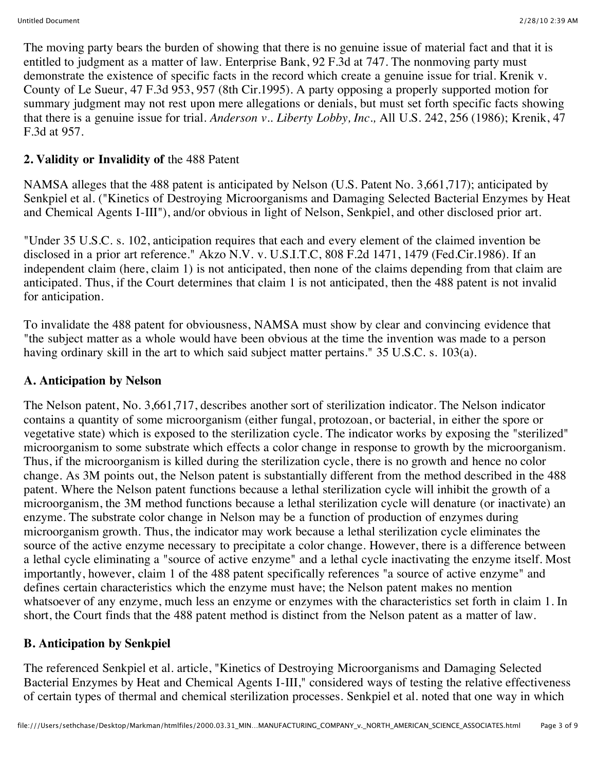The moving party bears the burden of showing that there is no genuine issue of material fact and that it is entitled to judgment as a matter of law. Enterprise Bank, 92 F.3d at 747. The nonmoving party must demonstrate the existence of specific facts in the record which create a genuine issue for trial. Krenik v. County of Le Sueur, 47 F.3d 953, 957 (8th Cir.1995). A party opposing a properly supported motion for summary judgment may not rest upon mere allegations or denials, but must set forth specific facts showing that there is a genuine issue for trial. *Anderson v.. Liberty Lobby, Inc.,* All U.S. 242, 256 (1986); Krenik, 47 F.3d at 957.

# **2. Validity or Invalidity of** the 488 Patent

NAMSA alleges that the 488 patent is anticipated by Nelson (U.S. Patent No. 3,661,717); anticipated by Senkpiel et al. ("Kinetics of Destroying Microorganisms and Damaging Selected Bacterial Enzymes by Heat and Chemical Agents I-III"), and/or obvious in light of Nelson, Senkpiel, and other disclosed prior art.

"Under 35 U.S.C. s. 102, anticipation requires that each and every element of the claimed invention be disclosed in a prior art reference." Akzo N.V. v. U.S.I.T.C, 808 F.2d 1471, 1479 (Fed.Cir.1986). If an independent claim (here, claim 1) is not anticipated, then none of the claims depending from that claim are anticipated. Thus, if the Court determines that claim 1 is not anticipated, then the 488 patent is not invalid for anticipation.

To invalidate the 488 patent for obviousness, NAMSA must show by clear and convincing evidence that "the subject matter as a whole would have been obvious at the time the invention was made to a person having ordinary skill in the art to which said subject matter pertains." 35 U.S.C. s. 103(a).

## **A. Anticipation by Nelson**

The Nelson patent, No. 3,661,717, describes another sort of sterilization indicator. The Nelson indicator contains a quantity of some microorganism (either fungal, protozoan, or bacterial, in either the spore or vegetative state) which is exposed to the sterilization cycle. The indicator works by exposing the "sterilized" microorganism to some substrate which effects a color change in response to growth by the microorganism. Thus, if the microorganism is killed during the sterilization cycle, there is no growth and hence no color change. As 3M points out, the Nelson patent is substantially different from the method described in the 488 patent. Where the Nelson patent functions because a lethal sterilization cycle will inhibit the growth of a microorganism, the 3M method functions because a lethal sterilization cycle will denature (or inactivate) an enzyme. The substrate color change in Nelson may be a function of production of enzymes during microorganism growth. Thus, the indicator may work because a lethal sterilization cycle eliminates the source of the active enzyme necessary to precipitate a color change. However, there is a difference between a lethal cycle eliminating a "source of active enzyme" and a lethal cycle inactivating the enzyme itself. Most importantly, however, claim 1 of the 488 patent specifically references "a source of active enzyme" and defines certain characteristics which the enzyme must have; the Nelson patent makes no mention whatsoever of any enzyme, much less an enzyme or enzymes with the characteristics set forth in claim 1. In short, the Court finds that the 488 patent method is distinct from the Nelson patent as a matter of law.

### **B. Anticipation by Senkpiel**

The referenced Senkpiel et al. article, "Kinetics of Destroying Microorganisms and Damaging Selected Bacterial Enzymes by Heat and Chemical Agents I-III," considered ways of testing the relative effectiveness of certain types of thermal and chemical sterilization processes. Senkpiel et al. noted that one way in which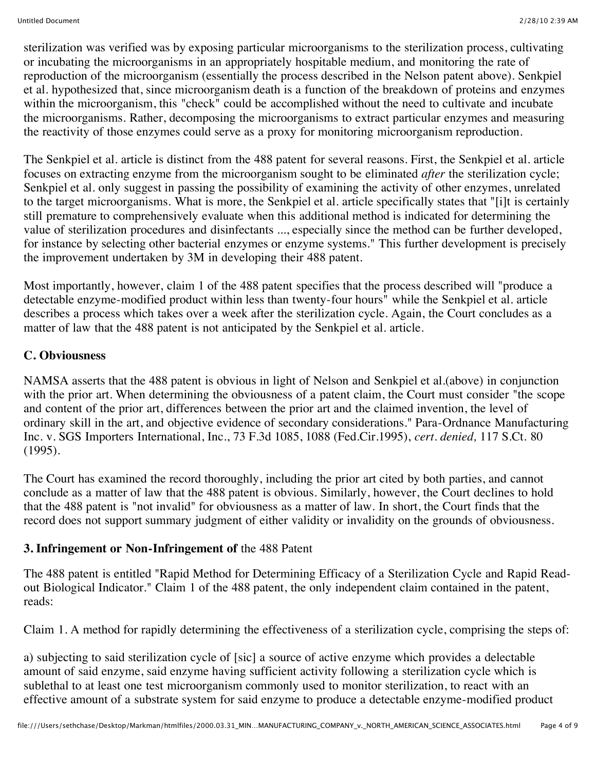sterilization was verified was by exposing particular microorganisms to the sterilization process, cultivating or incubating the microorganisms in an appropriately hospitable medium, and monitoring the rate of reproduction of the microorganism (essentially the process described in the Nelson patent above). Senkpiel et al. hypothesized that, since microorganism death is a function of the breakdown of proteins and enzymes within the microorganism, this "check" could be accomplished without the need to cultivate and incubate the microorganisms. Rather, decomposing the microorganisms to extract particular enzymes and measuring the reactivity of those enzymes could serve as a proxy for monitoring microorganism reproduction.

The Senkpiel et al. article is distinct from the 488 patent for several reasons. First, the Senkpiel et al. article focuses on extracting enzyme from the microorganism sought to be eliminated *after* the sterilization cycle; Senkpiel et al. only suggest in passing the possibility of examining the activity of other enzymes, unrelated to the target microorganisms. What is more, the Senkpiel et al. article specifically states that "[i]t is certainly still premature to comprehensively evaluate when this additional method is indicated for determining the value of sterilization procedures and disinfectants ..., especially since the method can be further developed, for instance by selecting other bacterial enzymes or enzyme systems." This further development is precisely the improvement undertaken by 3M in developing their 488 patent.

Most importantly, however, claim 1 of the 488 patent specifies that the process described will "produce a detectable enzyme-modified product within less than twenty-four hours" while the Senkpiel et al. article describes a process which takes over a week after the sterilization cycle. Again, the Court concludes as a matter of law that the 488 patent is not anticipated by the Senkpiel et al. article.

## **C. Obviousness**

NAMSA asserts that the 488 patent is obvious in light of Nelson and Senkpiel et al.(above) in conjunction with the prior art. When determining the obviousness of a patent claim, the Court must consider "the scope" and content of the prior art, differences between the prior art and the claimed invention, the level of ordinary skill in the art, and objective evidence of secondary considerations." Para-Ordnance Manufacturing Inc. v. SGS Importers International, Inc., 73 F.3d 1085, 1088 (Fed.Cir.1995), *cert. denied,* 117 S.Ct. 80 (1995).

The Court has examined the record thoroughly, including the prior art cited by both parties, and cannot conclude as a matter of law that the 488 patent is obvious. Similarly, however, the Court declines to hold that the 488 patent is "not invalid" for obviousness as a matter of law. In short, the Court finds that the record does not support summary judgment of either validity or invalidity on the grounds of obviousness.

### **3. Infringement or Non-Infringement of** the 488 Patent

The 488 patent is entitled "Rapid Method for Determining Efficacy of a Sterilization Cycle and Rapid Readout Biological Indicator." Claim 1 of the 488 patent, the only independent claim contained in the patent, reads:

Claim 1. A method for rapidly determining the effectiveness of a sterilization cycle, comprising the steps of:

a) subjecting to said sterilization cycle of [sic] a source of active enzyme which provides a delectable amount of said enzyme, said enzyme having sufficient activity following a sterilization cycle which is sublethal to at least one test microorganism commonly used to monitor sterilization, to react with an effective amount of a substrate system for said enzyme to produce a detectable enzyme-modified product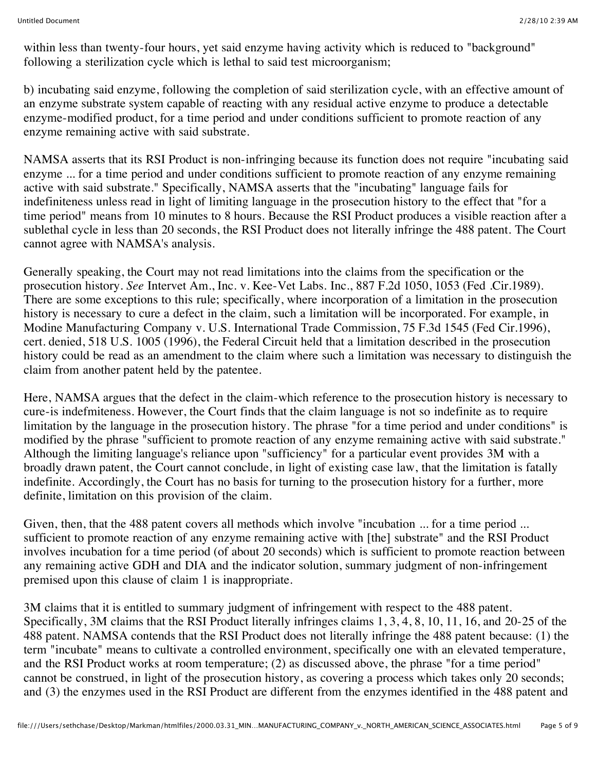within less than twenty-four hours, yet said enzyme having activity which is reduced to "background" following a sterilization cycle which is lethal to said test microorganism;

b) incubating said enzyme, following the completion of said sterilization cycle, with an effective amount of an enzyme substrate system capable of reacting with any residual active enzyme to produce a detectable enzyme-modified product, for a time period and under conditions sufficient to promote reaction of any enzyme remaining active with said substrate.

NAMSA asserts that its RSI Product is non-infringing because its function does not require "incubating said enzyme ... for a time period and under conditions sufficient to promote reaction of any enzyme remaining active with said substrate." Specifically, NAMSA asserts that the "incubating" language fails for indefiniteness unless read in light of limiting language in the prosecution history to the effect that "for a time period" means from 10 minutes to 8 hours. Because the RSI Product produces a visible reaction after a sublethal cycle in less than 20 seconds, the RSI Product does not literally infringe the 488 patent. The Court cannot agree with NAMSA's analysis.

Generally speaking, the Court may not read limitations into the claims from the specification or the prosecution history. *See* Intervet Am., Inc. v. Kee-Vet Labs. Inc., 887 F.2d 1050, 1053 (Fed .Cir.1989). There are some exceptions to this rule; specifically, where incorporation of a limitation in the prosecution history is necessary to cure a defect in the claim, such a limitation will be incorporated. For example, in Modine Manufacturing Company v. U.S. International Trade Commission, 75 F.3d 1545 (Fed Cir.1996), cert. denied, 518 U.S. 1005 (1996), the Federal Circuit held that a limitation described in the prosecution history could be read as an amendment to the claim where such a limitation was necessary to distinguish the claim from another patent held by the patentee.

Here, NAMSA argues that the defect in the claim-which reference to the prosecution history is necessary to cure-is indefmiteness. However, the Court finds that the claim language is not so indefinite as to require limitation by the language in the prosecution history. The phrase "for a time period and under conditions" is modified by the phrase "sufficient to promote reaction of any enzyme remaining active with said substrate." Although the limiting language's reliance upon "sufficiency" for a particular event provides 3M with a broadly drawn patent, the Court cannot conclude, in light of existing case law, that the limitation is fatally indefinite. Accordingly, the Court has no basis for turning to the prosecution history for a further, more definite, limitation on this provision of the claim.

Given, then, that the 488 patent covers all methods which involve "incubation ... for a time period ... sufficient to promote reaction of any enzyme remaining active with [the] substrate" and the RSI Product involves incubation for a time period (of about 20 seconds) which is sufficient to promote reaction between any remaining active GDH and DIA and the indicator solution, summary judgment of non-infringement premised upon this clause of claim 1 is inappropriate.

3M claims that it is entitled to summary judgment of infringement with respect to the 488 patent. Specifically, 3M claims that the RSI Product literally infringes claims 1, 3, 4, 8, 10, 11, 16, and 20-25 of the 488 patent. NAMSA contends that the RSI Product does not literally infringe the 488 patent because: (1) the term "incubate" means to cultivate a controlled environment, specifically one with an elevated temperature, and the RSI Product works at room temperature; (2) as discussed above, the phrase "for a time period" cannot be construed, in light of the prosecution history, as covering a process which takes only 20 seconds; and (3) the enzymes used in the RSI Product are different from the enzymes identified in the 488 patent and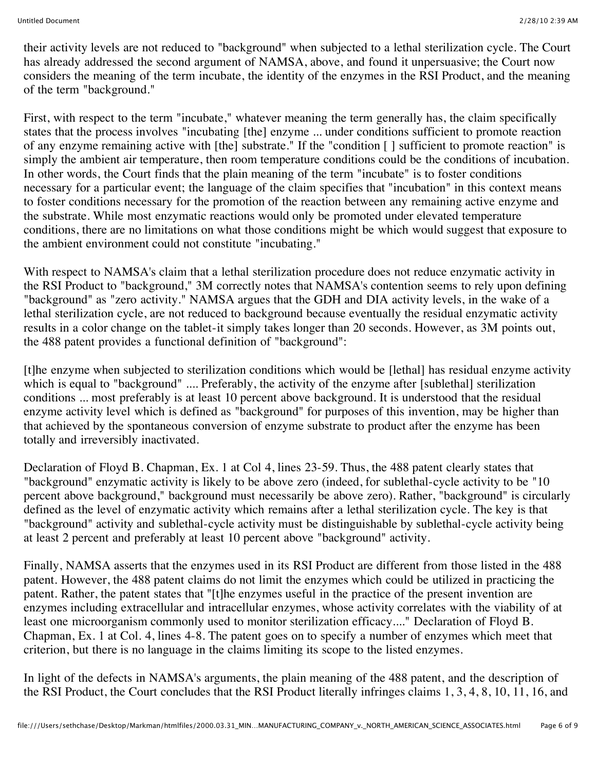their activity levels are not reduced to "background" when subjected to a lethal sterilization cycle. The Court has already addressed the second argument of NAMSA, above, and found it unpersuasive; the Court now considers the meaning of the term incubate, the identity of the enzymes in the RSI Product, and the meaning of the term "background."

First, with respect to the term "incubate," whatever meaning the term generally has, the claim specifically states that the process involves "incubating [the] enzyme ... under conditions sufficient to promote reaction of any enzyme remaining active with [the] substrate." If the "condition [ ] sufficient to promote reaction" is simply the ambient air temperature, then room temperature conditions could be the conditions of incubation. In other words, the Court finds that the plain meaning of the term "incubate" is to foster conditions necessary for a particular event; the language of the claim specifies that "incubation" in this context means to foster conditions necessary for the promotion of the reaction between any remaining active enzyme and the substrate. While most enzymatic reactions would only be promoted under elevated temperature conditions, there are no limitations on what those conditions might be which would suggest that exposure to the ambient environment could not constitute "incubating."

With respect to NAMSA's claim that a lethal sterilization procedure does not reduce enzymatic activity in the RSI Product to "background," 3M correctly notes that NAMSA's contention seems to rely upon defining "background" as "zero activity." NAMSA argues that the GDH and DIA activity levels, in the wake of a lethal sterilization cycle, are not reduced to background because eventually the residual enzymatic activity results in a color change on the tablet-it simply takes longer than 20 seconds. However, as 3M points out, the 488 patent provides a functional definition of "background":

[t]he enzyme when subjected to sterilization conditions which would be [lethal] has residual enzyme activity which is equal to "background" .... Preferably, the activity of the enzyme after [sublethal] sterilization conditions ... most preferably is at least 10 percent above background. It is understood that the residual enzyme activity level which is defined as "background" for purposes of this invention, may be higher than that achieved by the spontaneous conversion of enzyme substrate to product after the enzyme has been totally and irreversibly inactivated.

Declaration of Floyd B. Chapman, Ex. 1 at Col 4, lines 23-59. Thus, the 488 patent clearly states that "background" enzymatic activity is likely to be above zero (indeed, for sublethal-cycle activity to be "10 percent above background," background must necessarily be above zero). Rather, "background" is circularly defined as the level of enzymatic activity which remains after a lethal sterilization cycle. The key is that "background" activity and sublethal-cycle activity must be distinguishable by sublethal-cycle activity being at least 2 percent and preferably at least 10 percent above "background" activity.

Finally, NAMSA asserts that the enzymes used in its RSI Product are different from those listed in the 488 patent. However, the 488 patent claims do not limit the enzymes which could be utilized in practicing the patent. Rather, the patent states that "[t]he enzymes useful in the practice of the present invention are enzymes including extracellular and intracellular enzymes, whose activity correlates with the viability of at least one microorganism commonly used to monitor sterilization efficacy...." Declaration of Floyd B. Chapman, Ex. 1 at Col. 4, lines 4-8. The patent goes on to specify a number of enzymes which meet that criterion, but there is no language in the claims limiting its scope to the listed enzymes.

In light of the defects in NAMSA's arguments, the plain meaning of the 488 patent, and the description of the RSI Product, the Court concludes that the RSI Product literally infringes claims 1, 3, 4, 8, 10, 11, 16, and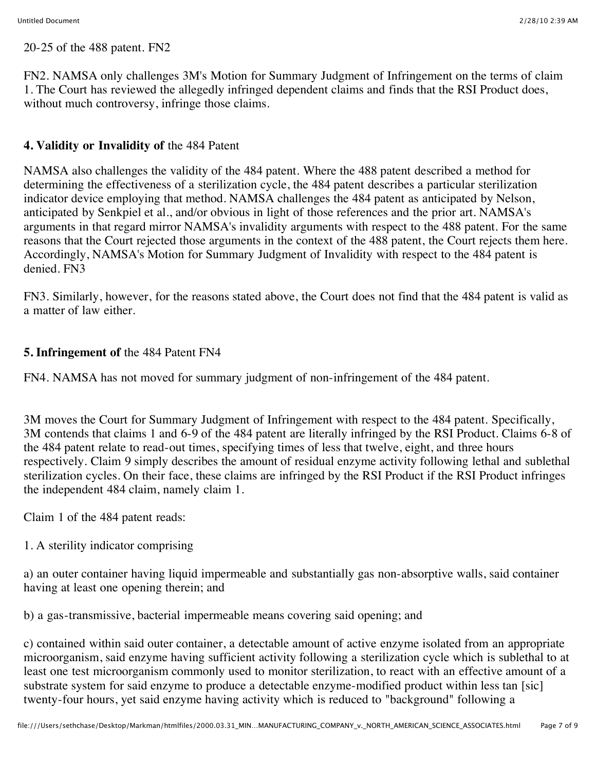20-25 of the 488 patent. FN2

FN2. NAMSA only challenges 3M's Motion for Summary Judgment of Infringement on the terms of claim 1. The Court has reviewed the allegedly infringed dependent claims and finds that the RSI Product does, without much controversy, infringe those claims.

# **4. Validity or Invalidity of** the 484 Patent

NAMSA also challenges the validity of the 484 patent. Where the 488 patent described a method for determining the effectiveness of a sterilization cycle, the 484 patent describes a particular sterilization indicator device employing that method. NAMSA challenges the 484 patent as anticipated by Nelson, anticipated by Senkpiel et al., and/or obvious in light of those references and the prior art. NAMSA's arguments in that regard mirror NAMSA's invalidity arguments with respect to the 488 patent. For the same reasons that the Court rejected those arguments in the context of the 488 patent, the Court rejects them here. Accordingly, NAMSA's Motion for Summary Judgment of Invalidity with respect to the 484 patent is denied. FN3

FN3. Similarly, however, for the reasons stated above, the Court does not find that the 484 patent is valid as a matter of law either.

## **5. Infringement of** the 484 Patent FN4

FN4. NAMSA has not moved for summary judgment of non-infringement of the 484 patent.

3M moves the Court for Summary Judgment of Infringement with respect to the 484 patent. Specifically, 3M contends that claims 1 and 6-9 of the 484 patent are literally infringed by the RSI Product. Claims 6-8 of the 484 patent relate to read-out times, specifying times of less that twelve, eight, and three hours respectively. Claim 9 simply describes the amount of residual enzyme activity following lethal and sublethal sterilization cycles. On their face, these claims are infringed by the RSI Product if the RSI Product infringes the independent 484 claim, namely claim 1.

Claim 1 of the 484 patent reads:

1. A sterility indicator comprising

a) an outer container having liquid impermeable and substantially gas non-absorptive walls, said container having at least one opening therein; and

b) a gas-transmissive, bacterial impermeable means covering said opening; and

c) contained within said outer container, a detectable amount of active enzyme isolated from an appropriate microorganism, said enzyme having sufficient activity following a sterilization cycle which is sublethal to at least one test microorganism commonly used to monitor sterilization, to react with an effective amount of a substrate system for said enzyme to produce a detectable enzyme-modified product within less tan [sic] twenty-four hours, yet said enzyme having activity which is reduced to "background" following a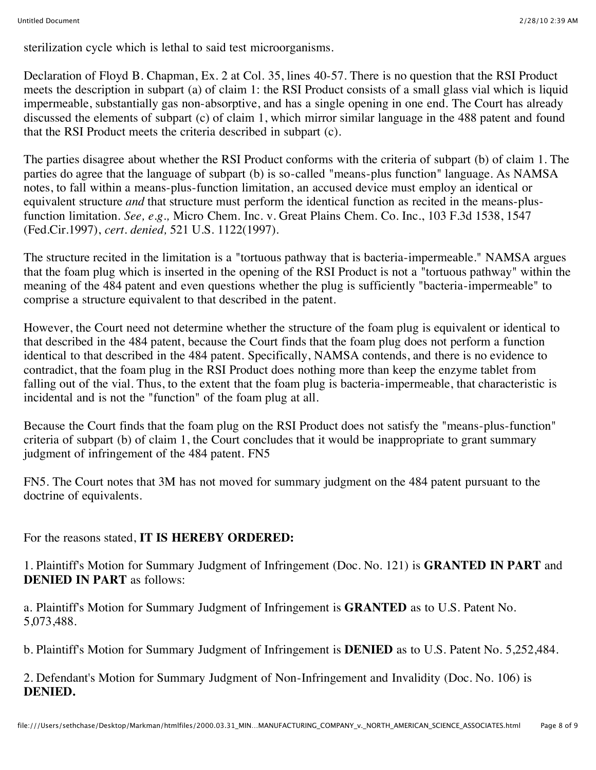sterilization cycle which is lethal to said test microorganisms.

Declaration of Floyd B. Chapman, Ex. 2 at Col. 35, lines 40-57. There is no question that the RSI Product meets the description in subpart (a) of claim 1: the RSI Product consists of a small glass vial which is liquid impermeable, substantially gas non-absorptive, and has a single opening in one end. The Court has already discussed the elements of subpart (c) of claim 1, which mirror similar language in the 488 patent and found that the RSI Product meets the criteria described in subpart (c).

The parties disagree about whether the RSI Product conforms with the criteria of subpart (b) of claim 1. The parties do agree that the language of subpart (b) is so-called "means-plus function" language. As NAMSA notes, to fall within a means-plus-function limitation, an accused device must employ an identical or equivalent structure *and* that structure must perform the identical function as recited in the means-plusfunction limitation. *See, e.g.,* Micro Chem. Inc. v. Great Plains Chem. Co. Inc., 103 F.3d 1538, 1547 (Fed.Cir.1997), *cert. denied,* 521 U.S. 1122(1997).

The structure recited in the limitation is a "tortuous pathway that is bacteria-impermeable." NAMSA argues that the foam plug which is inserted in the opening of the RSI Product is not a "tortuous pathway" within the meaning of the 484 patent and even questions whether the plug is sufficiently "bacteria-impermeable" to comprise a structure equivalent to that described in the patent.

However, the Court need not determine whether the structure of the foam plug is equivalent or identical to that described in the 484 patent, because the Court finds that the foam plug does not perform a function identical to that described in the 484 patent. Specifically, NAMSA contends, and there is no evidence to contradict, that the foam plug in the RSI Product does nothing more than keep the enzyme tablet from falling out of the vial. Thus, to the extent that the foam plug is bacteria-impermeable, that characteristic is incidental and is not the "function" of the foam plug at all.

Because the Court finds that the foam plug on the RSI Product does not satisfy the "means-plus-function" criteria of subpart (b) of claim 1, the Court concludes that it would be inappropriate to grant summary judgment of infringement of the 484 patent. FN5

FN5. The Court notes that 3M has not moved for summary judgment on the 484 patent pursuant to the doctrine of equivalents.

For the reasons stated, **IT IS HEREBY ORDERED:**

1. Plaintiff's Motion for Summary Judgment of Infringement (Doc. No. 121) is **GRANTED IN PART** and **DENIED IN PART** as follows:

a. Plaintiff's Motion for Summary Judgment of Infringement is **GRANTED** as to U.S. Patent No. 5,073,488.

b. Plaintiff's Motion for Summary Judgment of Infringement is **DENIED** as to U.S. Patent No. 5,252,484.

2. Defendant's Motion for Summary Judgment of Non-Infringement and Invalidity (Doc. No. 106) is **DENIED.**